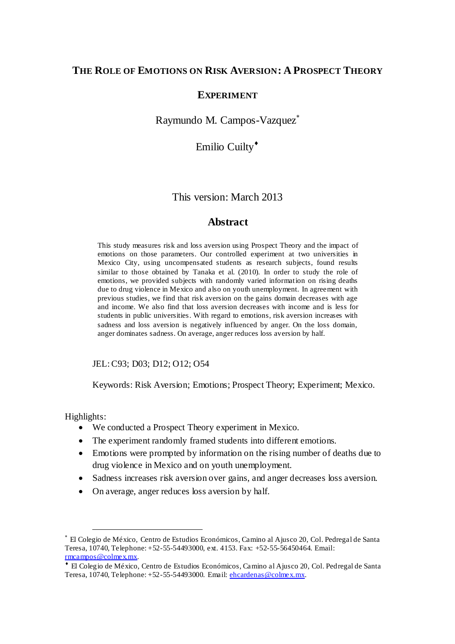# **THE ROLE OF EMOTIONS ON RISK AVERSION: A PROSPECT THEORY**

## **EXPERIMENT**

Raymundo M. Campos-Vazquez

Emilio Cuilty<sup>\*</sup>

This version: March 2013

# **Abstract**

This study measures risk and loss aversion using Prospect Theory and the impact of emotions on those parameters. Our controlled experiment at two universities in Mexico City, using uncompensated students as research subjects, found results similar to those obtained by Tanaka et al. (2010). In order to study the role of emotions, we provided subjects with randomly varied information on rising deaths due to drug violence in Mexico and also on youth unemployment. In agreement with previous studies, we find that risk aversion on the gains domain decreases with age and income. We also find that loss aversion decreases with income and is less for students in public universities. With regard to emotions, risk aversion increases with sadness and loss aversion is negatively influenced by anger. On the loss domain, anger dominates sadness. On average, anger reduces loss aversion by half.

JEL: C93; D03; D12; O12; O54

Keywords: Risk Aversion; Emotions; Prospect Theory; Experiment; Mexico.

Highlights:

- We conducted a Prospect Theory experiment in Mexico.
- The experiment randomly framed students into different emotions.
- Emotions were prompted by information on the rising number of deaths due to drug violence in Mexico and on youth unemployment.
- Sadness increases risk aversion over gains, and anger decreases loss aversion.
- On average, anger reduces loss aversion by half.

El Colegio de México, Centro de Estudios Económicos, Camino al Ajusco 20, Col. Pedregal de Santa Teresa, 10740, Telephone: +52-55-54493000, ext. 4153. Fax: +52-55-56450464. Email: [rmcampos@colmex.mx.](mailto:rmcampos@colmex.mx) 

El Colegio de México, Centro de Estudios Económicos, Camino al Ajusco 20, Col. Pedregal de Santa Teresa, 10740, Telephone: +52-55-54493000. Email: [ehcardenas@colmex.mx.](mailto:ehcardenas@colmex.mx)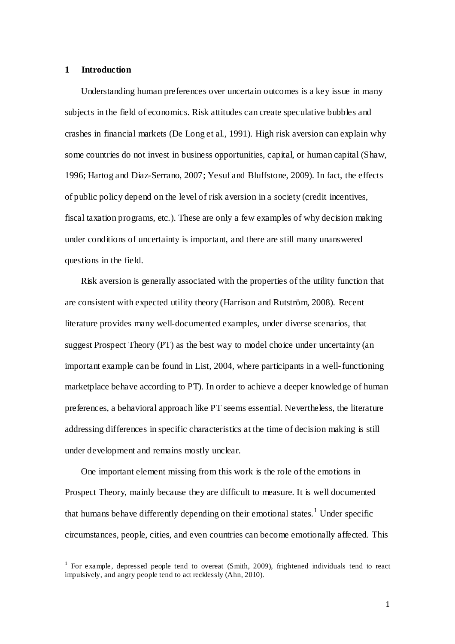#### **1 Introduction**

 $\overline{a}$ 

Understanding human preferences over uncertain outcomes is a key issue in many subjects in the field of economics. Risk attitudes can create speculative bubbles and crashes in financial markets (De Long et al., 1991). High risk aversion can explain why some countries do not invest in business opportunities, capital, or human capital (Shaw, 1996; Hartog and Diaz-Serrano, 2007; Yesuf and Bluffstone, 2009). In fact, the effects of public policy depend on the level of risk aversion in a society (credit incentives, fiscal taxation programs, etc.). These are only a few examples of why decision making under conditions of uncertainty is important, and there are still many unanswered questions in the field.

Risk aversion is generally associated with the properties of the utility function that are consistent with expected utility theory (Harrison and Rutström, 2008). Recent literature provides many well-documented examples, under diverse scenarios, that suggest Prospect Theory (PT) as the best way to model choice under uncertainty (an important example can be found in List, 2004, where participants in a well-functioning marketplace behave according to PT). In order to achieve a deeper knowledge of human preferences, a behavioral approach like PT seems essential. Nevertheless, the literature addressing differences in specific characteristics at the time of decision making is still under development and remains mostly unclear.

One important element missing from this work is the role of the emotions in Prospect Theory, mainly because they are difficult to measure. It is well documented that humans behave differently depending on their emotional states.<sup>1</sup> Under specific circumstances, people, cities, and even countries can become emotionally affected. This

<sup>&</sup>lt;sup>1</sup> For example, depressed people tend to overeat (Smith, 2009), frightened individuals tend to react impulsively, and angry people tend to act recklessly (Ahn, 2010).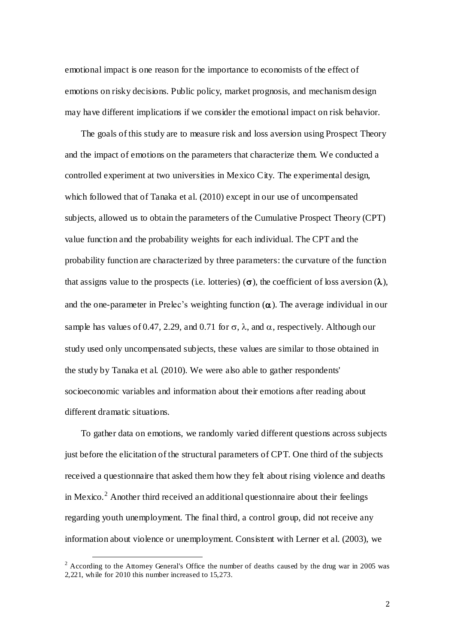emotional impact is one reason for the importance to economists of the effect of emotions on risky decisions. Public policy, market prognosis, and mechanism design may have different implications if we consider the emotional impact on risk behavior.

The goals of this study are to measure risk and loss aversion using Prospect Theory and the impact of emotions on the parameters that characterize them. We conducted a controlled experiment at two universities in Mexico City. The experimental design, which followed that of Tanaka et al. (2010) except in our use of uncompensated subjects, allowed us to obtain the parameters of the Cumulative Prospect Theory (CPT) value function and the probability weights for each individual. The CPT and the probability function are characterized by three parameters: the curvature of the function that assigns value to the prospects (i.e. lotteries) ( $\sigma$ ), the coefficient of loss aversion ( $\lambda$ ), and the one-parameter in Prelec's weighting function  $(\alpha)$ . The average individual in our sample has values of 0.47, 2.29, and 0.71 for  $\sigma$ ,  $\lambda$ , and  $\alpha$ , respectively. Although our study used only uncompensated subjects, these values are similar to those obtained in the study by Tanaka et al. (2010). We were also able to gather respondents' socioeconomic variables and information about their emotions after reading about different dramatic situations.

To gather data on emotions, we randomly varied different questions across subjects just before the elicitation of the structural parameters of CPT. One third of the subjects received a questionnaire that asked them how they felt about rising violence and deaths in Mexico.<sup>2</sup> Another third received an additional questionnaire about their feelings regarding youth unemployment. The final third, a control group, did not receive any information about violence or unemployment. Consistent with Lerner et al. (2003), we

<sup>&</sup>lt;sup>2</sup> According to the Attorney General's Office the number of deaths caused by the drug war in 2005 was 2,221, while for 2010 this number increased to 15,273.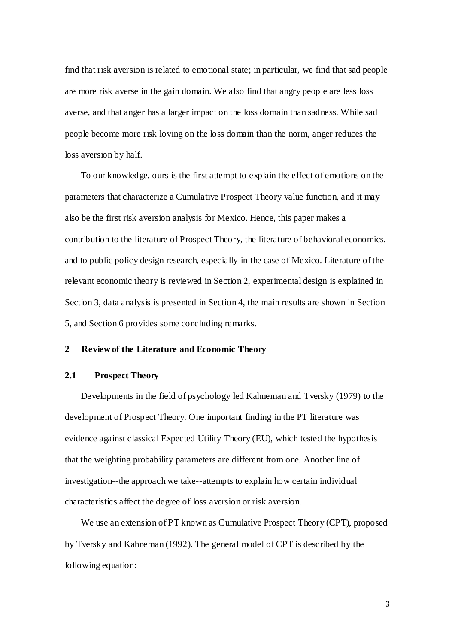find that risk aversion is related to emotional state; in particular, we find that sad people are more risk averse in the gain domain. We also find that angry people are less loss averse, and that anger has a larger impact on the loss domain than sadness. While sad people become more risk loving on the loss domain than the norm, anger reduces the loss aversion by half.

To our knowledge, ours is the first attempt to explain the effect of emotions on the parameters that characterize a Cumulative Prospect Theory value function, and it may also be the first risk aversion analysis for Mexico. Hence, this paper makes a contribution to the literature of Prospect Theory, the literature of behavioral economics, and to public policy design research, especially in the case of Mexico. Literature of the relevant economic theory is reviewed in Section 2, experimental design is explained in Section 3, data analysis is presented in Section 4, the main results are shown in Section 5, and Section 6 provides some concluding remarks.

## **2 Review of the Literature and Economic Theory**

### **2.1 Prospect Theory**

Developments in the field of psychology led Kahneman and Tversky (1979) to the development of Prospect Theory. One important finding in the PT literature was evidence against classical Expected Utility Theory (EU), which tested the hypothesis that the weighting probability parameters are different from one. Another line of investigation--the approach we take--attempts to explain how certain individual characteristics affect the degree of loss aversion or risk aversion.

We use an extension of PT known as Cumulative Prospect Theory (CPT), proposed by Tversky and Kahneman (1992). The general model of CPT is described by the following equation:

3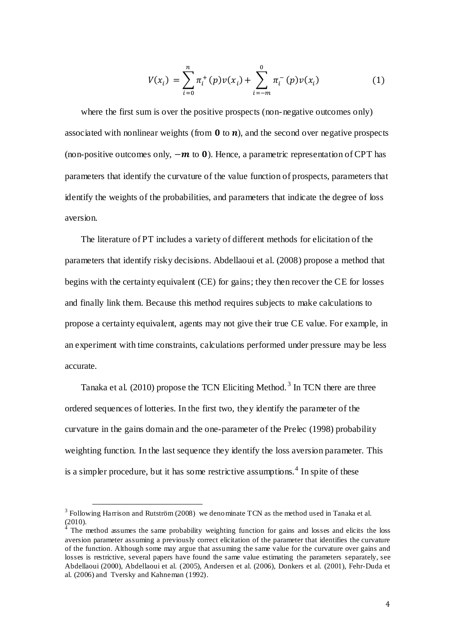$$
V(x_i) = \sum_{i=0}^{n} \pi_i^+(p) v(x_i) + \sum_{i=-m}^{0} \pi_i^-(p) v(x_i)
$$
 (1)

where the first sum is over the positive prospects (non-negative outcomes only) associated with nonlinear weights (from  $\bf{0}$  to  $\bf{n}$ ), and the second over negative prospects (non-positive outcomes only,  $-\boldsymbol{m}$  to 0). Hence, a parametric representation of CPT has parameters that identify the curvature of the value function of prospects, parameters that identify the weights of the probabilities, and parameters that indicate the degree of loss aversion.

The literature of PT includes a variety of different methods for elicitation of the parameters that identify risky decisions. Abdellaoui et al. (2008) propose a method that begins with the certainty equivalent (CE) for gains; they then recover the CE for losses and finally link them. Because this method requires subjects to make calculations to propose a certainty equivalent, agents may not give their true CE value. For example, in an experiment with time constraints, calculations performed under pressure may be less accurate.

Tanaka et al. (2010) propose the TCN Eliciting Method.<sup>3</sup> In TCN there are three ordered sequences of lotteries. In the first two, they identify the parameter of the curvature in the gains domain and the one-parameter of the Prelec (1998) probability weighting function. In the last sequence they identify the loss aversion parameter. This is a simpler procedure, but it has some restrictive assumptions.<sup>4</sup> In spite of these

 $3$  Following Harrison and Rutström (2008) we denominate TCN as the method used in Tanaka et al.  $(2010).$ <sup>4</sup> The

The method assumes the same probability weighting function for gains and losses and elicits the loss aversion parameter assuming a previously correct elicitation of the parameter that identifies the curvature of the function. Although some may argue that assuming the same value for the curvature over gains and losses is restrictive, several papers have found the same value estimating the parameters separately, see Abdellaoui (2000), Abdellaoui et al. (2005), Andersen et al. (2006), Donkers et al. (2001), Fehr-Duda et al. (2006) and Tversky and Kahneman (1992).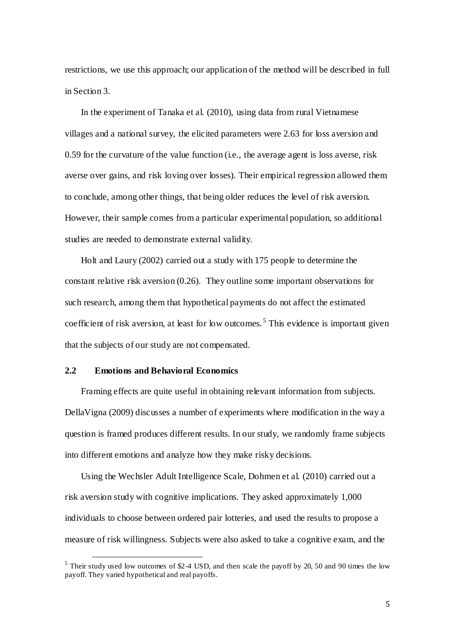restrictions, we use this approach; our application of the method will be described in full in Section 3.

In the experiment of Tanaka et al. (2010), using data from rural Vietnamese villages and a national survey, the elicited parameters were 2.63 for loss aversion and 0.59 for the curvature of the value function (i.e., the average agent is loss averse, risk averse over gains, and risk loving over losses). Their empirical regression allowed them to conclude, among other things, that being older reduces the level of risk aversion. However, their sample comes from a particular experimental population, so additional studies are needed to demonstrate external validity.

Holt and Laury (2002) carried out a study with 175 people to determine the constant relative risk aversion (0.26). They outline some important observations for such research, among them that hypothetical payments do not affect the estimated coefficient of risk aversion, at least for low outcomes.<sup>5</sup> This evidence is important given that the subjects of our study are not compensated.

## **2.2 Emotions and Behavioral Economics**

 $\overline{a}$ 

Framing effects are quite useful in obtaining relevant information from subjects. DellaVigna (2009) discusses a number of experiments where modification in the way a question is framed produces different results. In our study, we randomly frame subjects into different emotions and analyze how they make risky decisions.

Using the Wechsler Adult Intelligence Scale, Dohmen et al. (2010) carried out a risk aversion study with cognitive implications. They asked approximately 1,000 individuals to choose between ordered pair lotteries, and used the results to propose a measure of risk willingness. Subjects were also asked to take a cognitive exam, and the

 $<sup>5</sup>$  Their study used low outcomes of \$2-4 USD, and then scale the payoff by 20, 50 and 90 times the low</sup> payoff. They varied hypothetical and real payoffs.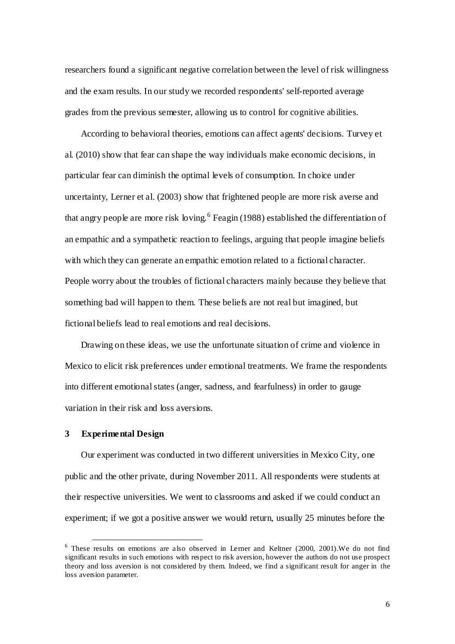researchers found a significant negative correlation between the level of risk willingness and the exam results. In our study we recorded respondents' self-reported average grades from the previous semester, allowing us to control for cognitive abilities.

According to behavioral theories, emotions can affect agents' decisions. Turvey et al. (2010) show that fear can shape the way individuals make economic decisions, in particular fear can diminish the optimal levels of consumption. In choice under uncertainty, Lerner et al. (2003) show that frightened people are more risk averse and that angry people are more risk loving.<sup>6</sup> Feagin (1988) established the differentiation of an empathic and a sympathetic reaction to feelings, arguing that people imagine beliefs with which they can generate an empathic emotion related to a fictional character. People worry about the troubles of fictional characters mainly because they believe that something bad will happen to them. These beliefs are not real but imagined, but fictional beliefs lead to real emotions and real decisions.

Drawing on these ideas, we use the unfortunate situation of crime and violence in Mexico to elicit risk preferences under emotional treatments. We frame the respondents into different emotional states (anger, sadness, and fearfulness) in order to gauge variation in their risk and loss aversions.

#### **3 Experimental Design**

 $\overline{a}$ 

Our experiment was conducted in two different universities in Mexico City, one public and the other private, during November 2011. All respondents were students at their respective universities. We went to classrooms and asked if we could conduct an experiment; if we got a positive answer we would return, usually 25 minutes before the

<sup>&</sup>lt;sup>6</sup> These results on emotions are also observed in Lerner and Keltner (2000, 2001). We do not find significant results in such emotions with respect to risk aversion, however the authors do not use prospect theory and loss aversion is not considered by them. Indeed, we find a significant result for anger in the loss aversion parameter.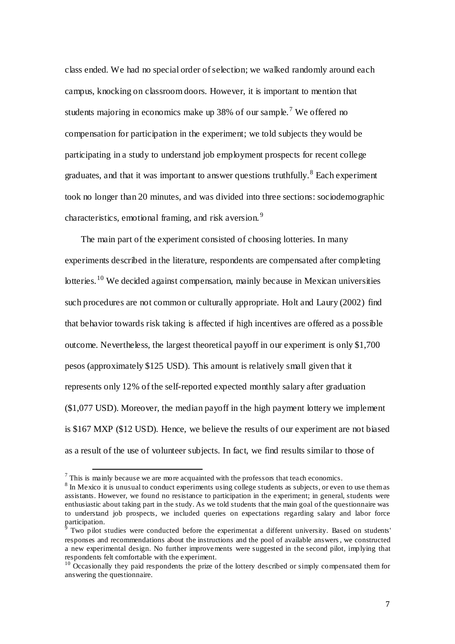class ended. We had no special order of selection; we walked randomly around each campus, knocking on classroom doors. However, it is important to mention that students majoring in economics make up 38% of our sample.<sup>7</sup> We offered no compensation for participation in the experiment; we told subjects they would be participating in a study to understand job employment prospects for recent college graduates, and that it was important to answer questions truthfully.<sup>8</sup> Each experiment took no longer than 20 minutes, and was divided into three sections: sociodemographic characteristics, emotional framing, and risk aversion. <sup>9</sup>

The main part of the experiment consisted of choosing lotteries. In many experiments described in the literature, respondents are compensated after completing lotteries.<sup>10</sup> We decided against compensation, mainly because in Mexican universities such procedures are not common or culturally appropriate. Holt and Laury (2002) find that behavior towards risk taking is affected if high incentives are offered as a possible outcome. Nevertheless, the largest theoretical payoff in our experiment is only \$1,700 pesos (approximately \$125 USD). This amount is relatively small given that it represents only 12% of the self-reported expected monthly salary after graduation (\$1,077 USD). Moreover, the median payoff in the high payment lottery we implement is \$167 MXP (\$12 USD). Hence, we believe the results of our experiment are not biased as a result of the use of volunteer subjects. In fact, we find results similar to those of

 $<sup>7</sup>$  This is mainly because we are more acquainted with the professors that teach economics.</sup>

<sup>&</sup>lt;sup>8</sup> In Mexico it is unusual to conduct experiments using college students as subjects, or even to use them as assistants. However, we found no resistance to participation in the experiment; in general, students were enthusiastic about taking part in the study. As we told students that the main goal of the questionnaire was to understand job prospects, we included queries on expectations regarding salary and labor force participation.<br><sup>9</sup> Two nilot.

Two pilot studies were conducted before the experimentat a different university*.* Based on students' responses and recommendations about the instructions and the pool of available answers, we constructed a new experimental design. No further improvements were suggested in the second pilot, implying that respondents felt comfortable with the experiment.

 $10$  Occasionally they paid respondents the prize of the lottery described or simply compensated them for answering the questionnaire.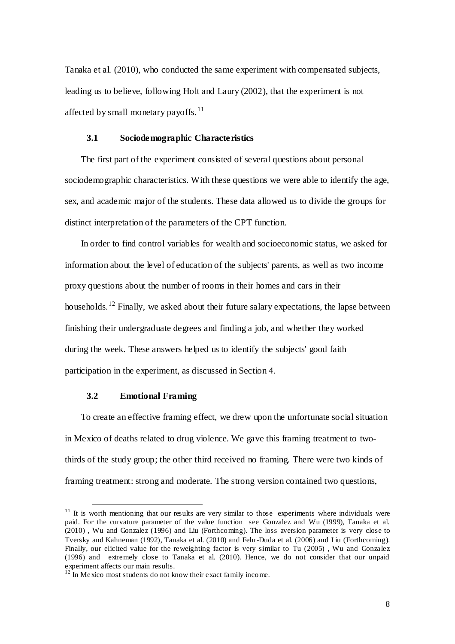Tanaka et al. (2010), who conducted the same experiment with compensated subjects, leading us to believe, following Holt and Laury (2002), that the experiment is not affected by small monetary payoffs.<sup>11</sup>

### **3.1 Sociodemographic Characteristics**

The first part of the experiment consisted of several questions about personal sociodemographic characteristics. With these questions we were able to identify the age, sex, and academic major of the students. These data allowed us to divide the groups for distinct interpretation of the parameters of the CPT function.

In order to find control variables for wealth and socioeconomic status, we asked for information about the level of education of the subjects' parents, as well as two income proxy questions about the number of rooms in their homes and cars in their households.<sup>12</sup> Finally, we asked about their future salary expectations, the lapse between finishing their undergraduate degrees and finding a job, and whether they worked during the week. These answers helped us to identify the subjects' good faith participation in the experiment, as discussed in Section 4.

#### **3.2 Emotional Framing**

 $\overline{a}$ 

To create an effective framing effect, we drew upon the unfortunate social situation in Mexico of deaths related to drug violence. We gave this framing treatment to twothirds of the study group; the other third received no framing. There were two kinds of framing treatment: strong and moderate. The strong version contained two questions,

 $11$  It is worth mentioning that our results are very similar to those experiments where individuals were paid. For the curvature parameter of the value function see Gonzalez and Wu (1999), Tanaka et al. (2010) , Wu and Gonzalez (1996) and Liu (Forthcoming). The loss aversion parameter is very close to Tversky and Kahneman (1992), Tanaka et al. (2010) and Fehr-Duda et al. (2006) and Liu (Forthcoming). Finally, our elicited value for the reweighting factor is very similar to Tu (2005) , Wu and Gonzalez (1996) and extremely close to Tanaka et al. (2010). Hence, we do not consider that our unpaid experiment affects our main results.

<sup>&</sup>lt;sup>12</sup> In Mexico most students do not know their exact family income.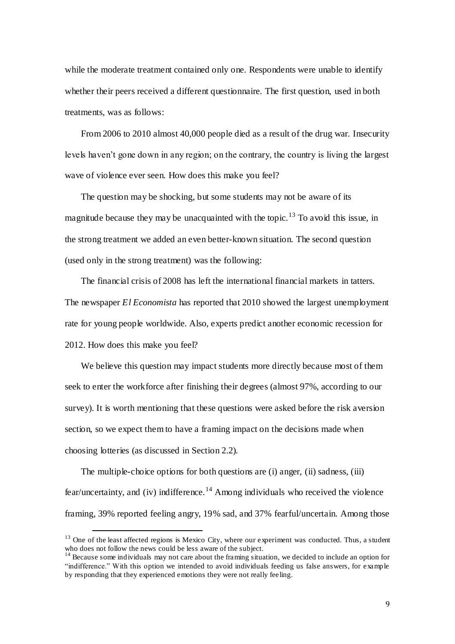while the moderate treatment contained only one. Respondents were unable to identify whether their peers received a different questionnaire. The first question, used in both treatments, was as follows:

From 2006 to 2010 almost 40,000 people died as a result of the drug war. Insecurity levels haven't gone down in any region; on the contrary, the country is living the largest wave of violence ever seen. How does this make you feel?

The question may be shocking, but some students may not be aware of its magnitude because they may be unacquainted with the topic.<sup>13</sup> To avoid this issue, in the strong treatment we added an even better-known situation. The second question (used only in the strong treatment) was the following:

The financial crisis of 2008 has left the international financial markets in tatters. The newspaper *El Economista* has reported that 2010 showed the largest unemployment rate for young people worldwide. Also, experts predict another economic recession for 2012. How does this make you feel?

We believe this question may impact students more directly because most of them seek to enter the workforce after finishing their degrees (almost 97%, according to our survey). It is worth mentioning that these questions were asked before the risk aversion section, so we expect them to have a framing impact on the decisions made when choosing lotteries (as discussed in Section 2.2)*.*

The multiple-choice options for both questions are (i) anger, (ii) sadness, (iii) fear/uncertainty, and (iv) indifference.<sup>14</sup> Among individuals who received the violence framing, 39% reported feeling angry, 19% sad, and 37% fearful/uncertain. Among those

 $13$  One of the least affected regions is Mexico City, where our experiment was conducted. Thus, a student who does not follow the news could be less aware of the subject.

<sup>&</sup>lt;sup>14</sup> Because some individuals may not care about the framing situation, we decided to include an option for "indifference." With this option we intended to avoid individuals feeding us false answers, for example by responding that they experienced emotions they were not really feeling.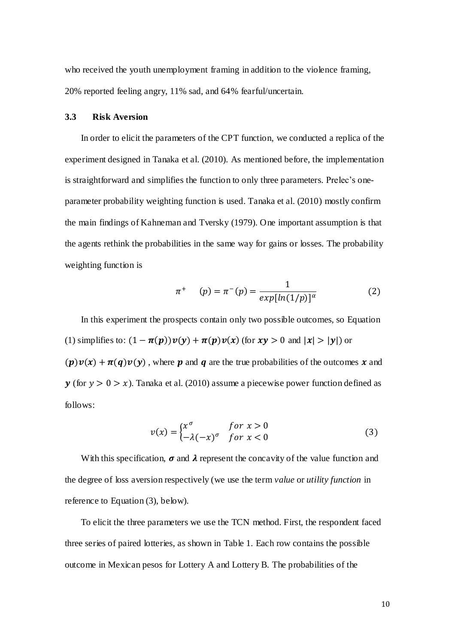who received the youth unemployment framing in addition to the violence framing, 20% reported feeling angry, 11% sad, and 64% fearful/uncertain.

### **3.3 Risk Aversion**

In order to elicit the parameters of the CPT function, we conducted a replica of the experiment designed in Tanaka et al. (2010). As mentioned before, the implementation is straightforward and simplifies the function to only three parameters. Prelec's oneparameter probability weighting function is used. Tanaka et al. (2010) mostly confirm the main findings of Kahneman and Tversky (1979). One important assumption is that the agents rethink the probabilities in the same way for gains or losses. The probability weighting function is

$$
\pi^{+} \quad (p) = \pi^{-}(p) = \frac{1}{exp[ln(1/p)]^{\alpha}}
$$
 (2)

In this experiment the prospects contain only two possible outcomes, so Equation (1) simplifies to:  $(1 - \pi(p))v(y) + \pi(p)v(x)$  (for  $xy > 0$  and  $|x| > |y|$ ) or  $(p)v(x) + \pi(q)v(y)$ , where p and q are the true probabilities of the outcomes x and  $y$  (for  $y > 0 > x$ ). Tanaka et al. (2010) assume a piecewise power function defined as follows:

$$
v(x) = \begin{cases} x^{\sigma} & \text{for } x > 0\\ -\lambda (-x)^{\sigma} & \text{for } x < 0 \end{cases}
$$
 (3)

With this specification,  $\sigma$  and  $\lambda$  represent the concavity of the value function and the degree of loss aversion respectively (we use the term *value* or *utility function* in reference to Equation (3), below).

To elicit the three parameters we use the TCN method. First, the respondent faced three series of paired lotteries, as shown in Table 1. Each row contains the possible outcome in Mexican pesos for Lottery A and Lottery B. The probabilities of the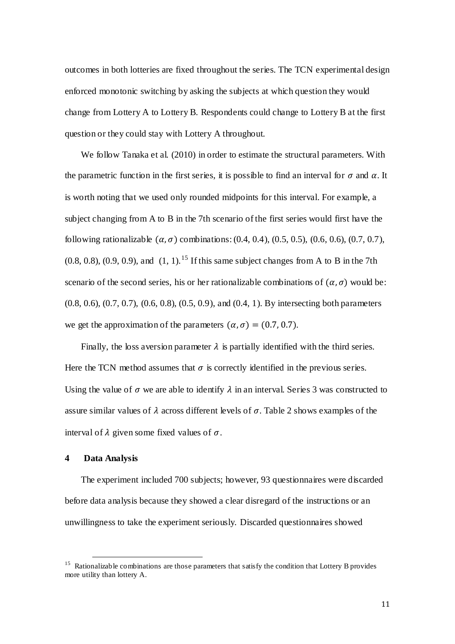outcomes in both lotteries are fixed throughout the series. The TCN experimental design enforced monotonic switching by asking the subjects at which question they would change from Lottery A to Lottery B. Respondents could change to Lottery B at the first question or they could stay with Lottery A throughout.

We follow Tanaka et al. (2010) in order to estimate the structural parameters. With the parametric function in the first series, it is possible to find an interval for  $\sigma$  and  $\alpha$ . It is worth noting that we used only rounded midpoints for this interval. For example, a subject changing from A to B in the 7th scenario of the first series would first have the following rationalizable  $(\alpha, \sigma)$  combinations: (0.4, 0.4), (0.5, 0.5), (0.6, 0.6), (0.7, 0.7),  $(0.8, 0.8), (0.9, 0.9),$  and  $(1, 1)$ .<sup>15</sup> If this same subject changes from A to B in the 7th scenario of the second series, his or her rationalizable combinations of  $(\alpha, \sigma)$  would be: (0.8, 0.6), (0.7, 0.7), (0.6, 0.8), (0.5, 0.9), and (0.4, 1). By intersecting both parameters we get the approximation of the parameters  $(\alpha, \sigma) = (0.7, 0.7)$ .

Finally, the loss aversion parameter  $\lambda$  is partially identified with the third series. Here the TCN method assumes that  $\sigma$  is correctly identified in the previous series. Using the value of  $\sigma$  we are able to identify  $\lambda$  in an interval. Series 3 was constructed to assure similar values of  $\lambda$  across different levels of  $\sigma$ . Table 2 shows examples of the interval of  $\lambda$  given some fixed values of  $\sigma$ .

### **4 Data Analysis**

 $\overline{a}$ 

The experiment included 700 subjects; however, 93 questionnaires were discarded before data analysis because they showed a clear disregard of the instructions or an unwillingness to take the experiment seriously. Discarded questionnaires showed

<sup>&</sup>lt;sup>15</sup> Rationalizable combinations are those parameters that satisfy the condition that Lottery B provides more utility than lottery A.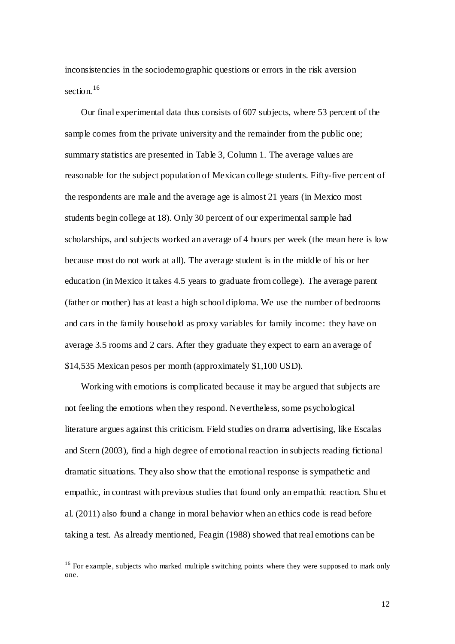inconsistencies in the sociodemographic questions or errors in the risk aversion section  $16$ 

Our final experimental data thus consists of 607 subjects, where 53 percent of the sample comes from the private university and the remainder from the public one; summary statistics are presented in Table 3, Column 1. The average values are reasonable for the subject population of Mexican college students. Fifty-five percent of the respondents are male and the average age is almost 21 years (in Mexico most students begin college at 18). Only 30 percent of our experimental sample had scholarships, and subjects worked an average of 4 hours per week (the mean here is low because most do not work at all). The average student is in the middle of his or her education (in Mexico it takes 4.5 years to graduate from college). The average parent (father or mother) has at least a high school diploma. We use the number of bedrooms and cars in the family household as proxy variables for family income: they have on average 3.5 rooms and 2 cars. After they graduate they expect to earn an average of \$14,535 Mexican pesos per month (approximately \$1,100 USD).

Working with emotions is complicated because it may be argued that subjects are not feeling the emotions when they respond. Nevertheless, some psychological literature argues against this criticism. Field studies on drama advertising, like Escalas and Stern (2003), find a high degree of emotional reaction in subjects reading fictional dramatic situations. They also show that the emotional response is sympathetic and empathic, in contrast with previous studies that found only an empathic reaction. Shu et al. (2011) also found a change in moral behavior when an ethics code is read before taking a test. As already mentioned, Feagin (1988) showed that real emotions can be

<sup>&</sup>lt;sup>16</sup> For example, subjects who marked multiple switching points where they were supposed to mark only one.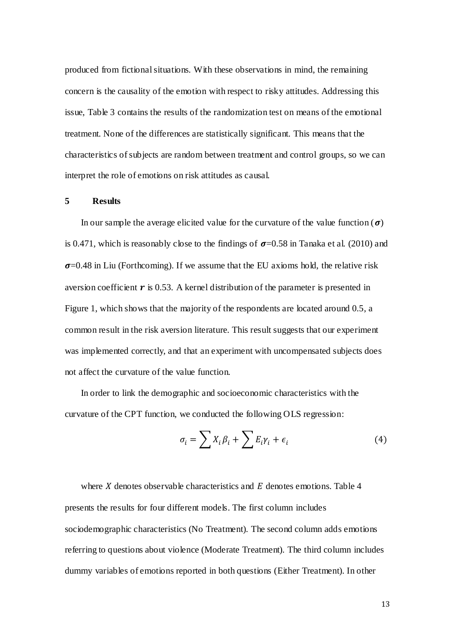produced from fictional situations. With these observations in mind, the remaining concern is the causality of the emotion with respect to risky attitudes. Addressing this issue, Table 3 contains the results of the randomization test on means of the emotional treatment. None of the differences are statistically significant. This means that the characteristics of subjects are random between treatment and control groups, so we can interpret the role of emotions on risk attitudes as causal.

### **5 Results**

In our sample the average elicited value for the curvature of the value function ( $\sigma$ ) is 0.471, which is reasonably close to the findings of  $\sigma$ =0.58 in Tanaka et al. (2010) and  $\sigma$ =0.48 in Liu (Forthcoming). If we assume that the EU axioms hold, the relative risk aversion coefficient  $\bm{r}$  is 0.53. A kernel distribution of the parameter is presented in Figure 1, which shows that the majority of the respondents are located around 0.5, a common result in the risk aversion literature. This result suggests that our experiment was implemented correctly, and that an experiment with uncompensated subjects does not affect the curvature of the value function.

In order to link the demographic and socioeconomic characteristics with the curvature of the CPT function, we conducted the following OLS regression:

$$
\sigma_i = \sum X_i \beta_i + \sum E_i \gamma_i + \epsilon_i \tag{4}
$$

where X denotes observable characteristics and  $E$  denotes emotions. Table 4 presents the results for four different models. The first column includes sociodemographic characteristics (No Treatment). The second column adds emotions referring to questions about violence (Moderate Treatment). The third column includes dummy variables of emotions reported in both questions (Either Treatment). In other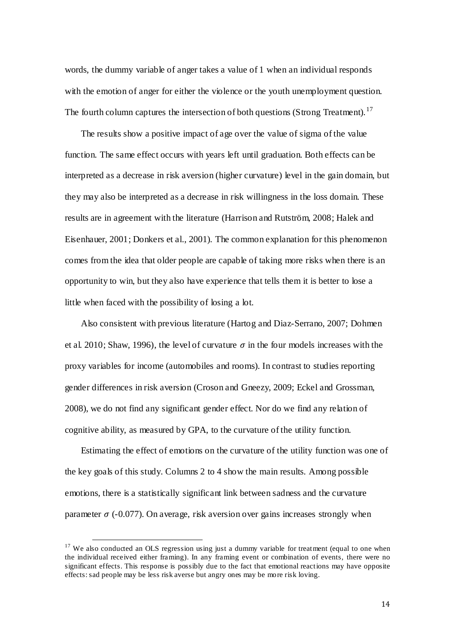words, the dummy variable of anger takes a value of 1 when an individual responds with the emotion of anger for either the violence or the youth unemployment question. The fourth column captures the intersection of both questions (Strong Treatment).<sup>17</sup>

The results show a positive impact of age over the value of sigma of the value function. The same effect occurs with years left until graduation. Both effects can be interpreted as a decrease in risk aversion (higher curvature) level in the gain domain, but they may also be interpreted as a decrease in risk willingness in the loss domain. These results are in agreement with the literature (Harrison and Rutström, 2008; Halek and Eisenhauer, 2001; Donkers et al., 2001). The common explanation for this phenomenon comes from the idea that older people are capable of taking more risks when there is an opportunity to win, but they also have experience that tells them it is better to lose a little when faced with the possibility of losing a lot.

Also consistent with previous literature (Hartog and Diaz-Serrano, 2007; Dohmen et al. 2010; Shaw, 1996), the level of curvature  $\sigma$  in the four models increases with the proxy variables for income (automobiles and rooms). In contrast to studies reporting gender differences in risk aversion (Croson and Gneezy, 2009; Eckel and Grossman, 2008), we do not find any significant gender effect. Nor do we find any relation of cognitive ability, as measured by GPA, to the curvature of the utility function.

Estimating the effect of emotions on the curvature of the utility function was one of the key goals of this study. Columns 2 to 4 show the main results. Among possible emotions, there is a statistically significant link between sadness and the curvature parameter  $\sigma$  (-0.077). On average, risk aversion over gains increases strongly when

<sup>&</sup>lt;sup>17</sup> We also conducted an OLS regression using just a dummy variable for treatment (equal to one when the individual received either framing). In any framing event or combination of events, there were no significant effects. This response is possibly due to the fact that emotional reactions may have opposite effects: sad people may be less risk averse but angry ones may be more risk loving.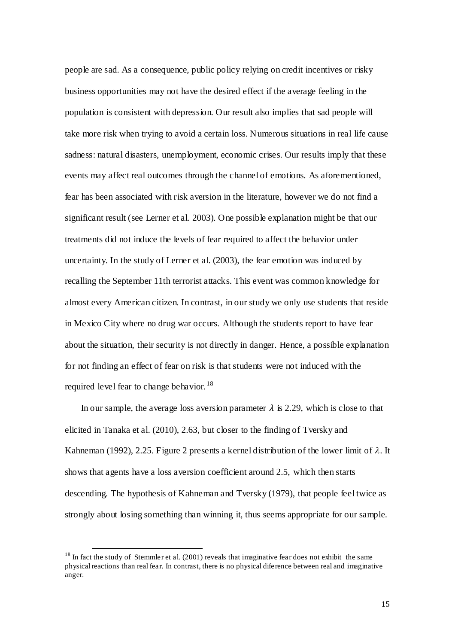people are sad. As a consequence, public policy relying on credit incentives or risky business opportunities may not have the desired effect if the average feeling in the population is consistent with depression. Our result also implies that sad people will take more risk when trying to avoid a certain loss. Numerous situations in real life cause sadness: natural disasters, unemployment, economic crises. Our results imply that these events may affect real outcomes through the channel of emotions. As aforementioned, fear has been associated with risk aversion in the literature, however we do not find a significant result (see Lerner et al. 2003). One possible explanation might be that our treatments did not induce the levels of fear required to affect the behavior under uncertainty. In the study of Lerner et al. (2003), the fear emotion was induced by recalling the September 11th terrorist attacks. This event was common knowledge for almost every American citizen. In contrast, in our study we only use students that reside in Mexico City where no drug war occurs. Although the students report to have fear about the situation, their security is not directly in danger. Hence, a possible explanation for not finding an effect of fear on risk is that students were not induced with the required level fear to change behavior.<sup>18</sup>

In our sample, the average loss aversion parameter  $\lambda$  is 2.29, which is close to that elicited in Tanaka et al. (2010), 2.63, but closer to the finding of Tversky and Kahneman (1992), 2.25. Figure 2 presents a kernel distribution of the lower limit of  $\lambda$ . It shows that agents have a loss aversion coefficient around 2.5, which then starts descending. The hypothesis of Kahneman and Tversky (1979), that people feel twice as strongly about losing something than winning it, thus seems appropriate for our sample.

 $18$  In fact the study of Stemmler et al. (2001) reveals that imaginative fear does not exhibit the same physical reactions than real fear. In contrast, there is no physical diference between real and imaginative anger.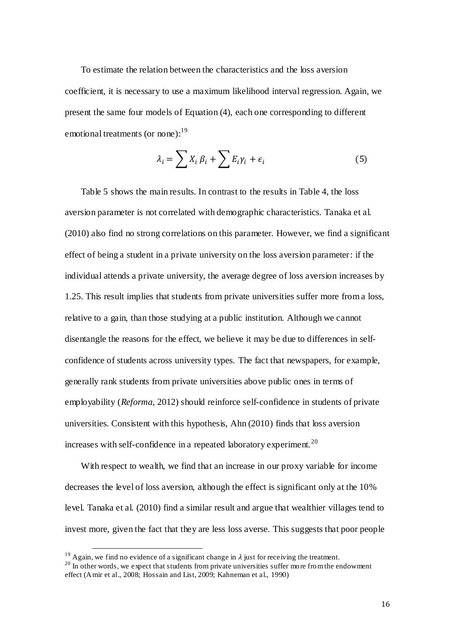To estimate the relation between the characteristics and the loss aversion coefficient, it is necessary to use a maximum likelihood interval regression. Again, we present the same four models of Equation (4), each one corresponding to different emotional treatments (or none):<sup>19</sup>

$$
\lambda_i = \sum X_i \beta_i + \sum E_i \gamma_i + \epsilon_i \tag{5}
$$

Table 5 shows the main results. In contrast to the results in Table 4, the loss aversion parameter is not correlated with demographic characteristics. Tanaka et al. (2010) also find no strong correlations on this parameter. However, we find a significant effect of being a student in a private university on the loss aversion parameter: if the individual attends a private university, the average degree of loss aversion increases by 1.25. This result implies that students from private universities suffer more from a loss, relative to a gain, than those studying at a public institution. Although we cannot disentangle the reasons for the effect, we believe it may be due to differences in selfconfidence of students across university types. The fact that newspapers, for example, generally rank students from private universities above public ones in terms of employability (*Reforma*, 2012) should reinforce self-confidence in students of private universities. Consistent with this hypothesis, Ahn (2010) finds that loss aversion increases with self-confidence in a repeated laboratory experiment.<sup>20</sup>

With respect to wealth, we find that an increase in our proxy variable for income decreases the level of loss aversion, although the effect is significant only at the 10% level. Tanaka et al. (2010) find a similar result and argue that wealthier villages tend to invest more, given the fact that they are less loss averse. This suggests that poor people

<sup>&</sup>lt;sup>19</sup> Again, we find no evidence of a significant change in  $\lambda$  just for receiving the treatment.

 $^{20}$  In other words, we expect that students from private universities suffer more from the endowment effect (Amir et al., 2008; Hossain and List, 2009; Kahneman et al., 1990)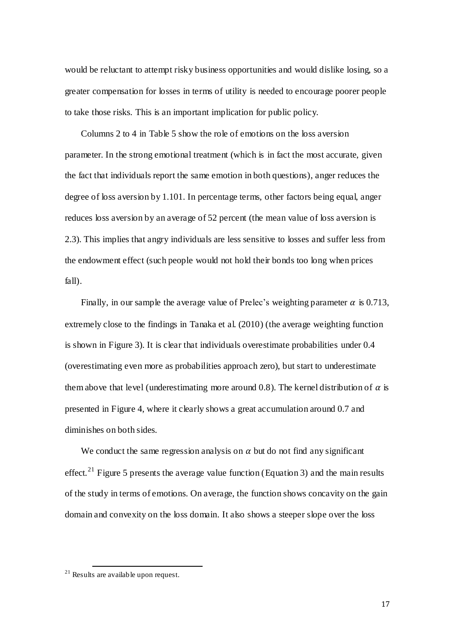would be reluctant to attempt risky business opportunities and would dislike losing, so a greater compensation for losses in terms of utility is needed to encourage poorer people to take those risks. This is an important implication for public policy.

Columns 2 to 4 in Table 5 show the role of emotions on the loss aversion parameter. In the strong emotional treatment (which is in fact the most accurate, given the fact that individuals report the same emotion in both questions), anger reduces the degree of loss aversion by 1.101. In percentage terms, other factors being equal, anger reduces loss aversion by an average of 52 percent (the mean value of loss aversion is 2.3). This implies that angry individuals are less sensitive to losses and suffer less from the endowment effect (such people would not hold their bonds too long when prices fall).

Finally, in our sample the average value of Prelec's weighting parameter  $\alpha$  is 0.713, extremely close to the findings in Tanaka et al. (2010) (the average weighting function is shown in Figure 3). It is clear that individuals overestimate probabilities under 0.4 (overestimating even more as probabilities approach zero), but start to underestimate them above that level (underestimating more around 0.8). The kernel distribution of  $\alpha$  is presented in Figure 4, where it clearly shows a great accumulation around 0.7 and diminishes on both sides.

We conduct the same regression analysis on  $\alpha$  but do not find any significant effect.<sup>21</sup> Figure 5 presents the average value function (Equation 3) and the main results of the study in terms of emotions. On average, the function shows concavity on the gain domain and convexity on the loss domain. It also shows a steeper slope over the loss

 $21$  Results are available upon request.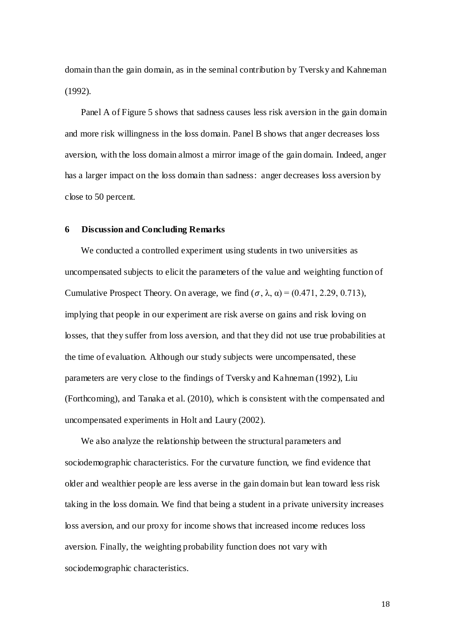domain than the gain domain, as in the seminal contribution by Tversky and Kahneman (1992).

Panel A of Figure 5 shows that sadness causes less risk aversion in the gain domain and more risk willingness in the loss domain. Panel B shows that anger decreases loss aversion, with the loss domain almost a mirror image of the gain domain. Indeed, anger has a larger impact on the loss domain than sadness: anger decreases loss aversion by close to 50 percent.

#### **6 Discussion and Concluding Remarks**

We conducted a controlled experiment using students in two universities as uncompensated subjects to elicit the parameters of the value and weighting function of Cumulative Prospect Theory. On average, we find  $(\sigma, \lambda, \alpha) = (0.471, 2.29, 0.713)$ , implying that people in our experiment are risk averse on gains and risk loving on losses, that they suffer from loss aversion, and that they did not use true probabilities at the time of evaluation. Although our study subjects were uncompensated, these parameters are very close to the findings of Tversky and Kahneman (1992), Liu (Forthcoming), and Tanaka et al. (2010), which is consistent with the compensated and uncompensated experiments in Holt and Laury (2002).

We also analyze the relationship between the structural parameters and sociodemographic characteristics. For the curvature function, we find evidence that older and wealthier people are less averse in the gain domain but lean toward less risk taking in the loss domain. We find that being a student in a private university increases loss aversion, and our proxy for income shows that increased income reduces loss aversion. Finally, the weighting probability function does not vary with sociodemographic characteristics.

18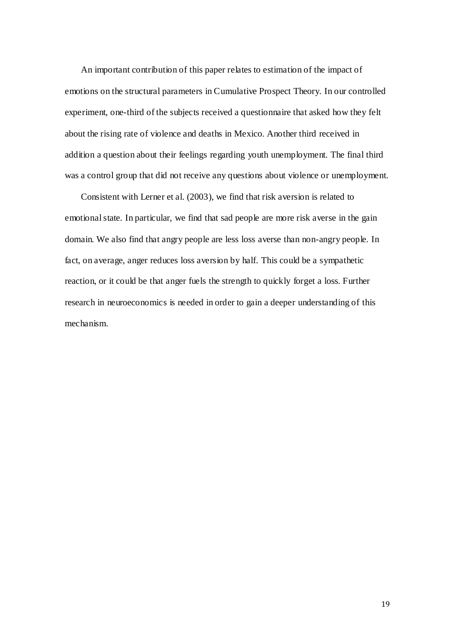An important contribution of this paper relates to estimation of the impact of emotions on the structural parameters in Cumulative Prospect Theory. In our controlled experiment, one-third of the subjects received a questionnaire that asked how they felt about the rising rate of violence and deaths in Mexico. Another third received in addition a question about their feelings regarding youth unemployment. The final third was a control group that did not receive any questions about violence or unemployment.

Consistent with Lerner et al. (2003), we find that risk aversion is related to emotional state. In particular, we find that sad people are more risk averse in the gain domain. We also find that angry people are less loss averse than non-angry people. In fact, on average, anger reduces loss aversion by half. This could be a sympathetic reaction, or it could be that anger fuels the strength to quickly forget a loss. Further research in neuroeconomics is needed in order to gain a deeper understanding of this mechanism.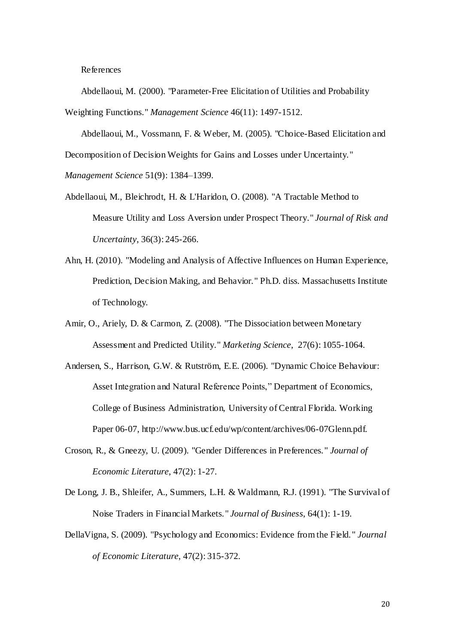References

Abdellaoui, M. (2000). "Parameter-Free Elicitation of Utilities and Probability Weighting Functions." *Management Science* 46(11): 1497-1512.

Abdellaoui, M., Vossmann, F. & Weber, M. (2005). "Choice-Based Elicitation and Decomposition of Decision Weights for Gains and Losses under Uncertainty."

*Management Science* 51(9): 1384–1399.

- Abdellaoui, M., Bleichrodt, H. & L'Haridon, O. (2008). "A Tractable Method to Measure Utility and Loss Aversion under Prospect Theory." *Journal of Risk and Uncertainty*, 36(3): 245-266.
- Ahn, H. (2010). "Modeling and Analysis of Affective Influences on Human Experience, Prediction, Decision Making, and Behavior." Ph.D. diss. Massachusetts Institute of Technology.
- Amir, O., Ariely, D. & Carmon, Z. (2008). "The Dissociation between Monetary Assessment and Predicted Utility." *Marketing Science*, 27(6): 1055-1064.
- Andersen, S., Harrison, G.W. & Rutström, E.E. (2006). "Dynamic Choice Behaviour: Asset Integration and Natural Reference Points," Department of Economics, College of Business Administration, University of Central Florida. Working Paper 06-07, http://www.bus.ucf.edu/wp/content/archives/06-07Glenn.pdf.
- Croson, R., & Gneezy, U. (2009). "Gender Differences in Preferences." *Journal of Economic Literature*, 47(2): 1-27.
- De Long, J. B., Shleifer, A., Summers, L.H. & Waldmann, R.J. (1991). "The Survival of Noise Traders in Financial Markets." *Journal of Business*, 64(1): 1-19.
- DellaVigna, S. (2009). "Psychology and Economics: Evidence from the Field. " *Journal of Economic Literature*, 47(2): 315-372.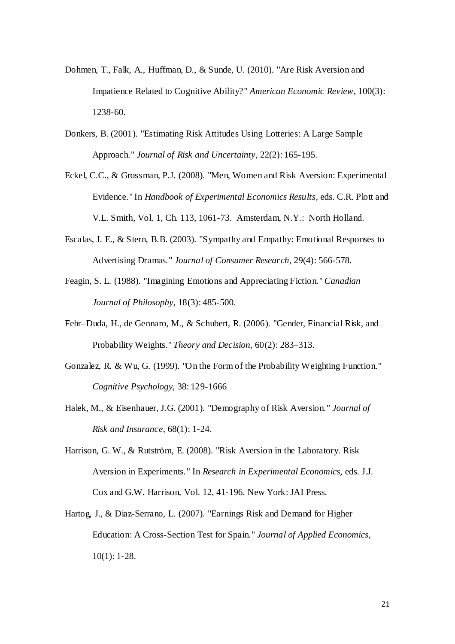- Dohmen, T., Falk, A., Huffman, D., & Sunde, U. (2010). "Are Risk Aversion and Impatience Related to Cognitive Ability?" *American Economic Review*, 100(3): 1238-60.
- Donkers, B. (2001). "Estimating Risk Attitudes Using Lotteries: A Large Sample Approach." *Journal of Risk and Uncertainty*, 22(2): 165-195.
- Eckel, C.C., & Grossman, P.J. (2008). "Men, Women and Risk Aversion: Experimental Evidence." In *Handbook of Experimental Economics Results*, eds. C.R. Plott and V.L. Smith, Vol. 1, Ch. 113, 1061-73. Amsterdam, N.Y.: North Holland.
- Escalas, J. E., & Stern, B.B. (2003). "Sympathy and Empathy: Emotional Responses to Advertising Dramas." *Journal of Consumer Research*, 29(4): 566-578.
- Feagin, S. L. (1988). "Imagining Emotions and Appreciating Fiction."*Canadian Journal of Philosophy*, 18(3): 485-500.
- Fehr–Duda, H., de Gennaro, M., & Schubert, R. (2006). "Gender, Financial Risk, and Probability Weights." *Theory and Decision,* 60(2): 283–313.
- Gonzalez, R. & Wu, G. (1999). "On the Form of the Probability Weighting Function." *Cognitive Psychology,* 38: 129-1666
- Halek, M., & Eisenhauer, J.G. (2001). "Demography of Risk Aversion." *Journal of Risk and Insurance*, 68(1): 1-24.
- Harrison, G. W., & Rutström, E. (2008). "Risk Aversion in the Laboratory. Risk Aversion in Experiments." In *Research in Experimental Economics,* eds. J.J. Cox and G.W. Harrison, Vol. 12, 41-196. New York: JAI Press.
- Hartog, J., & Diaz-Serrano, L. (2007). "Earnings Risk and Demand for Higher Education: A Cross-Section Test for Spain*.*" *Journal of Applied Economics*, 10(1): 1-28.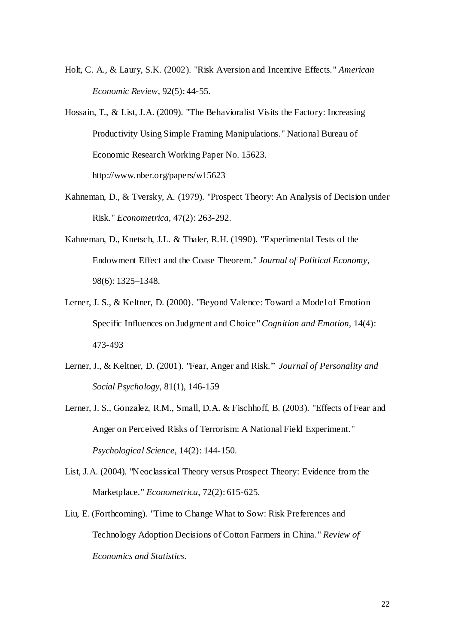- Holt, C. A., & Laury, S.K. (2002). "Risk Aversion and Incentive Effects." *American Economic Review*, 92(5): 44-55.
- Hossain, T., & List, J.A. (2009). "The Behavioralist Visits the Factory: Increasing Productivity Using Simple Framing Manipulations." National Bureau of Economic Research Working Paper No. 15623. http://www.nber.org/papers/w15623
- Kahneman, D., & Tversky, A. (1979). "Prospect Theory: An Analysis of Decision under Risk." *Econometrica*, 47(2): 263-292.
- Kahneman, D., Knetsch, J.L. & Thaler, R.H. (1990). "Experimental Tests of the Endowment Effect and the Coase Theorem." *Journal of Political Economy*, 98(6): 1325–1348.
- Lerner, J. S., & Keltner, D. (2000). "Beyond Valence: Toward a Model of Emotion Specific Influences on Judgment and Choice" *Cognition and Emotion,* 14(4): 473-493
- Lerner, J., & Keltner, D. (2001). "Fear, Anger and Risk." *Journal of Personality and Social Psychology,* 81(1), 146-159
- Lerner, J. S., Gonzalez, R.M., Small, D.A. & Fischhoff, B. (2003). "Effects of Fear and Anger on Perceived Risks of Terrorism: A National Field Experiment*.*" *Psychological Science*, 14(2): 144-150.
- List, J.A. (2004). "Neoclassical Theory versus Prospect Theory: Evidence from the Marketplace." *Econometrica*, 72(2): 615-625.
- Liu, E. (Forthcoming). "Time to Change What to Sow: Risk Preferences and Technology Adoption Decisions of Cotton Farmers in China. " *Review of Economics and Statistics*.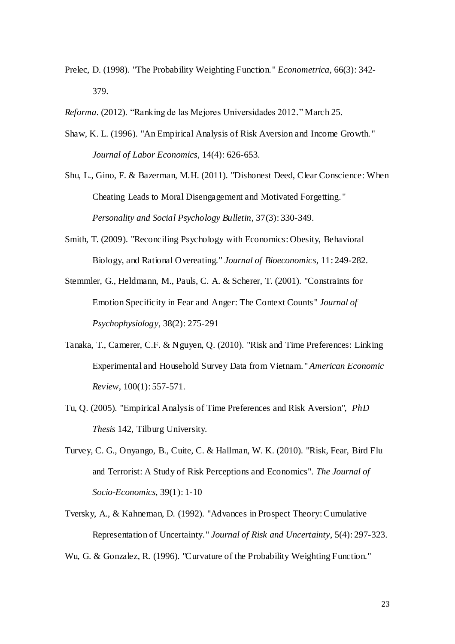- Prelec, D. (1998). "The Probability Weighting Function." *Econometrica*, 66(3): 342- 379.
- *Reforma*. (2012). "Ranking de las Mejores Universidades 2012." March 25.
- Shaw, K. L. (1996). "An Empirical Analysis of Risk Aversion and Income Growth. " *Journal of Labor Economics*, 14(4): 626-653.
- Shu, L., Gino, F. & Bazerman, M.H. (2011). "Dishonest Deed, Clear Conscience: When Cheating Leads to Moral Disengagement and Motivated Forgetting. " *Personality and Social Psychology Bulletin*, 37(3): 330-349.
- Smith, T. (2009). "Reconciling Psychology with Economics: Obesity, Behavioral Biology, and Rational Overeating." *Journal of Bioeconomics*, 11: 249-282.
- Stemmler, G., Heldmann, M., Pauls, C. A. & Scherer, T. (2001). "Constraints for Emotion Specificity in Fear and Anger: The Context Counts" *Journal of Psychophysiology*, 38(2): 275-291
- Tanaka, T., Camerer, C.F. & Nguyen, Q. (2010). "Risk and Time Preferences: Linking Experimental and Household Survey Data from Vietnam. " *American Economic Review*, 100(1): 557-571.
- Tu, Q. (2005). "Empirical Analysis of Time Preferences and Risk Aversion", *PhD Thesis* 142, Tilburg University.
- Turvey, C. G., Onyango, B., Cuite, C. & Hallman, W. K. (2010). "Risk, Fear, Bird Flu and Terrorist: A Study of Risk Perceptions and Economics". *The Journal of Socio-Economics,* 39(1): 1-10
- Tversky, A., & Kahneman, D. (1992). "Advances in Prospect Theory: Cumulative Representation of Uncertainty." *Journal of Risk and Uncertainty*, 5(4): 297-323.
- Wu, G. & Gonzalez, R. (1996). "Curvature of the Probability Weighting Function."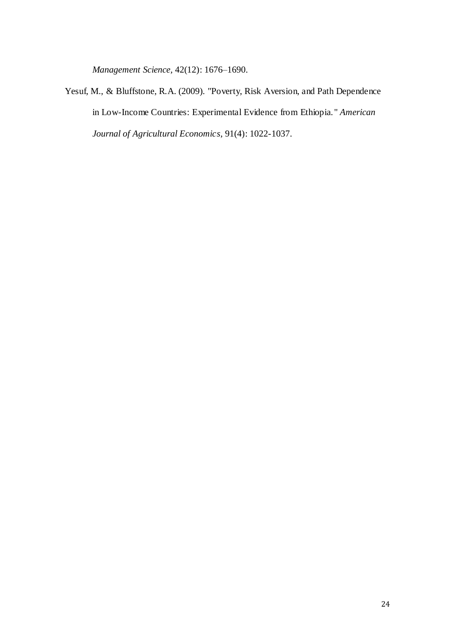*Management Science,* 42(12): 1676–1690.

Yesuf, M., & Bluffstone, R.A. (2009). "Poverty, Risk Aversion, and Path Dependence in Low-Income Countries: Experimental Evidence from Ethiopia. " *American Journal of Agricultural Economics*, 91(4): 1022-1037.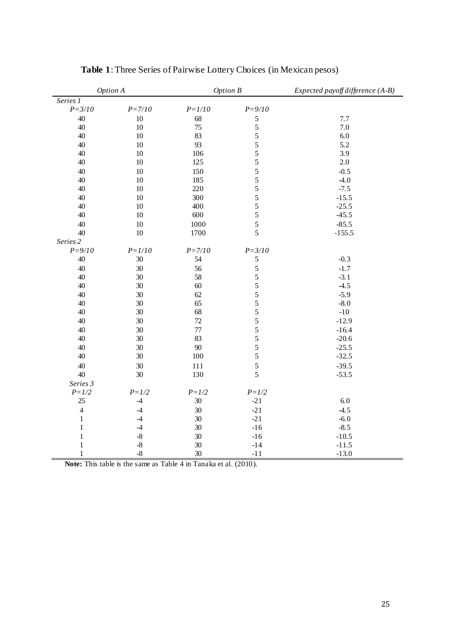| Option A       |            | <b>Option B</b> |               | Expected payoff difference (A-B) |
|----------------|------------|-----------------|---------------|----------------------------------|
| Series 1       |            |                 |               |                                  |
| $P = 3/10$     | $P = 7/10$ | $P = 1/10$      | $P = 9/10$    |                                  |
| 40             | $10\,$     | 68              | 5             | 7.7                              |
| 40             | $10\,$     | 75              | $\mathfrak s$ | 7.0                              |
| 40             | $10\,$     | 83              | 5             | 6.0                              |
| 40             | $10\,$     | 93              | 5             | 5.2                              |
| 40             | $10\,$     | 106             | 5             | 3.9                              |
| 40             | $10\,$     | 125             | 5             | 2.0                              |
| 40             | $10\,$     | 150             | 5             | $-0.5$                           |
| 40             | 10         | 185             | 5             | $-4.0$                           |
| 40             | $10\,$     | 220             | 5             | $-7.5$                           |
| 40             | $10\,$     | 300             | 5             | $-15.5$                          |
| 40             | $10\,$     | 400             | 5             | $-25.5$                          |
| 40             | $10\,$     | 600             | 5             | $-45.5$                          |
| 40             | $10\,$     | 1000            | 5             | $-85.5$                          |
| 40             | $10\,$     | 1700            | 5             | $-155.5$                         |
| Series 2       |            |                 |               |                                  |
| $P = 9/10$     | $P = 1/10$ | $P = 7/10$      | $P = 3/10$    |                                  |
| 40             | $30\,$     | 54              | $\sqrt{5}$    | $-0.3$                           |
| 40             | 30         | 56              | 5             | $-1.7$                           |
| 40             | 30         | 58              | 5             | $-3.1$                           |
| 40             | 30         | $60\,$          | $\mathfrak s$ | $-4.5$                           |
| 40             | 30         | 62              | 5             | $-5.9$                           |
| 40             | 30         | 65              | 5             | $-8.0$                           |
| 40             | 30         | 68              | 5             | $-10$                            |
| 40             | 30         | $72\,$          | 5             | $-12.9$                          |
| 40             | 30         | 77              | 5             | $-16.4$                          |
| 40             | 30         | 83              | 5             | $-20.6$                          |
| 40             | 30         | 90              | 5             | $-25.5$                          |
| 40             | $30\,$     | 100             | 5             | $-32.5$                          |
| 40             | 30         | 111             | 5             | $-39.5$                          |
| 40             | 30         | 130             | 5             | $-53.5$                          |
| Series 3       |            |                 |               |                                  |
| $P = 1/2$      | $P = 1/2$  | $P = 1/2$       | $P = 1/2$     |                                  |
| 25             | $-4$       | $30\,$          | $-21$         | 6.0                              |
| $\overline{4}$ | $-4$       | $30\,$          | $-21$         | $-4.5$                           |
| $\mathbf{1}$   | $-4$       | 30              | $-21$         | $-6.0$                           |
| $\,1$          | $-4$       | $30\,$          | $-16$         | $-8.5$                           |
| $\mathbf{1}$   | $-8$       | 30              | $-16$         | $-10.5$                          |
| $\,1$          | $-8$       | $30\,$          | $-14$         | $-11.5$                          |
| $\mathbf{1}$   | $-8$       | 30              | $-11$         | $-13.0$                          |

**Table 1**: Three Series of Pairwise Lottery Choices (in Mexican pesos)

**Note:** This table is the same as Table 4 in Tanaka et al. (2010).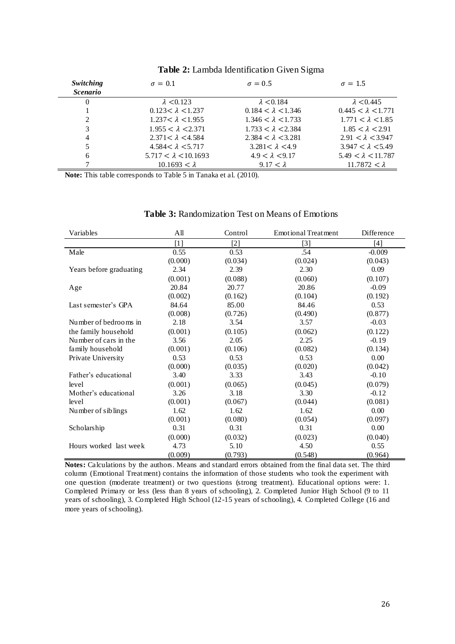| Switching       | $\sigma = 0.1$              | $\sigma = 0.5$            | $\sigma = 1.5$            |
|-----------------|-----------------------------|---------------------------|---------------------------|
| <i>Scenario</i> |                             |                           |                           |
| $\theta$        | $\lambda$ < 0.123           | $\lambda$ < 0.184         | $\lambda$ < 0.445         |
|                 | $0.123 < \lambda < 1.237$   | $0.184 < \lambda < 1.346$ | $0.445 < \lambda < 1.771$ |
| 2               | $1.237 < \lambda < 1.955$   | $1.346 < \lambda < 1.733$ | $1.771 < \lambda < 1.85$  |
| 3               | $1.955 < \lambda < 2.371$   | $1.733 < \lambda < 2.384$ | $1.85 < \lambda < 2.91$   |
| 4               | $2.371 < \lambda < 4.584$   | $2.384 < \lambda < 3.281$ | $2.91 < \lambda < 3.947$  |
| 5               | $4.584 < \lambda < 5.717$   | $3.281 < \lambda < 4.9$   | $3.947 < \lambda < 5.49$  |
| 6               | $5.717 < \lambda < 10.1693$ | $4.9 < \lambda < 9.17$    | $5.49 < \lambda < 11.787$ |
|                 | $10.1693 < \lambda$         | $9.17 < \lambda$          | 11.7872 $< \lambda$       |

## **Table 2:** Lambda Identification Given Sigma

**Note:** This table corresponds to Table 5 in Tanaka et al. (2010).

## **Table 3:** Randomization Test on Means of Emotions

| Variables               | All     | Control | <b>Emotional Treatment</b> | <b>Difference</b> |
|-------------------------|---------|---------|----------------------------|-------------------|
|                         | $[1]$   | $[2]$   | $[3]$                      | $[4]$             |
| Male                    | 0.55    | 0.53    | .54                        | $-0.009$          |
|                         | (0.000) | (0.034) | (0.024)                    | (0.043)           |
| Years before graduating | 2.34    | 2.39    | 2.30                       | 0.09              |
|                         | (0.001) | (0.088) | (0.060)                    | (0.107)           |
| Age                     | 20.84   | 20.77   | 20.86                      | $-0.09$           |
|                         | (0.002) | (0.162) | (0.104)                    | (0.192)           |
| Last semester's GPA     | 84.64   | 85.00   | 84.46                      | 0.53              |
|                         | (0.008) | (0.726) | (0.490)                    | (0.877)           |
| Number of bedrooms in   | 2.18    | 3.54    | 3.57                       | $-0.03$           |
| the family household    | (0.001) | (0.105) | (0.062)                    | (0.122)           |
| Number of cars in the   | 3.56    | 2.05    | 2.25                       | $-0.19$           |
| family household        | (0.001) | (0.106) | (0.082)                    | (0.134)           |
| Private University      | 0.53    | 0.53    | 0.53                       | 0.00              |
|                         | (0.000) | (0.035) | (0.020)                    | (0.042)           |
| Father's educational    | 3.40    | 3.33    | 3.43                       | $-0.10$           |
| level                   | (0.001) | (0.065) | (0.045)                    | (0.079)           |
| Mother's educational    | 3.26    | 3.18    | 3.30                       | $-0.12$           |
| level                   | (0.001) | (0.067) | (0.044)                    | (0.081)           |
| Number of siblings      | 1.62    | 1.62    | 1.62                       | 0.00              |
|                         | (0.001) | (0.080) | (0.054)                    | (0.097)           |
| Scholarship             | 0.31    | 0.31    | 0.31                       | 0.00              |
|                         | (0.000) | (0.032) | (0.023)                    | (0.040)           |
| Hours worked last week  | 4.73    | 5.10    | 4.50                       | 0.55              |
|                         | (0.009) | (0.793) | (0.548)                    | (0.964)           |

**Notes:** Calculations by the authors. Means and standard errors obtained from the final data set. The third column (Emotional Treatment) contains the information of those students who took the experiment with one question (moderate treatment) or two questions (strong treatment). Educational options were: 1. Completed Primary or less (less than 8 years of schooling), 2. Completed Junior High School (9 to 11 years of schooling), 3. Completed High School (12-15 years of schooling), 4. Completed College (16 and more years of schooling).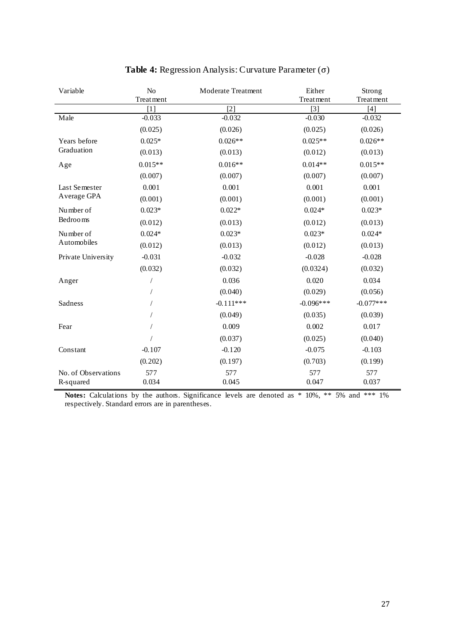| Variable                         | N <sub>o</sub><br>Moderate Treatment<br>Treatment |              | Either<br>Treatment | Strong<br>Treatment |
|----------------------------------|---------------------------------------------------|--------------|---------------------|---------------------|
|                                  | $[1]$                                             | $[2]$        | $[3]$               | $[4]$               |
| Male                             | $-0.033$                                          | $-0.032$     | $-0.030$            | $-0.032$            |
|                                  | (0.025)                                           | (0.026)      | (0.025)             | (0.026)             |
| Years before                     | $0.025*$                                          | $0.026**$    | $0.025**$           | $0.026**$           |
| Graduation                       | (0.013)                                           | (0.013)      | (0.012)             | (0.013)             |
| Age                              | $0.015**$                                         | $0.016**$    | $0.014**$           | $0.015**$           |
|                                  | (0.007)                                           | (0.007)      | (0.007)             | (0.007)             |
| Last Semester                    | 0.001                                             | 0.001        | 0.001               | 0.001               |
| Average GPA                      | (0.001)                                           | (0.001)      | (0.001)             | (0.001)             |
| Number of                        | $0.023*$                                          | $0.022*$     | $0.024*$            | $0.023*$            |
| Bedrooms                         | (0.012)                                           | (0.013)      | (0.012)             | (0.013)             |
| Number of                        | $0.024*$                                          | $0.023*$     | $0.023*$            | $0.024*$            |
| Automobiles                      | (0.012)                                           | (0.013)      | (0.012)             | (0.013)             |
| Private University               | $-0.031$                                          | $-0.032$     | $-0.028$            | $-0.028$            |
|                                  | (0.032)                                           | (0.032)      | (0.0324)            | (0.032)             |
| Anger                            |                                                   | 0.036        | 0.020               | 0.034               |
|                                  |                                                   | (0.040)      | (0.029)             | (0.056)             |
| Sadness                          |                                                   | $-0.111***$  | $-0.096***$         | $-0.077***$         |
|                                  |                                                   | (0.049)      | (0.035)             | (0.039)             |
| Fear                             |                                                   | 0.009        | 0.002               | 0.017               |
|                                  |                                                   | (0.037)      | (0.025)             | (0.040)             |
| Constant                         | $-0.107$                                          | $-0.120$     | $-0.075$            | $-0.103$            |
|                                  | (0.202)                                           | (0.197)      | (0.703)             | (0.199)             |
| No. of Observations<br>R-squared | 577<br>0.034                                      | 577<br>0.045 | 577<br>0.047        | 577<br>0.037        |

# **Table 4:** Regression Analysis: Curvature Parameter  $(\sigma)$

Notes: Calculations by the authors. Significance levels are denoted as \* 10%, \*\* 5% and \*\*\* 1% respectively. Standard errors are in parentheses.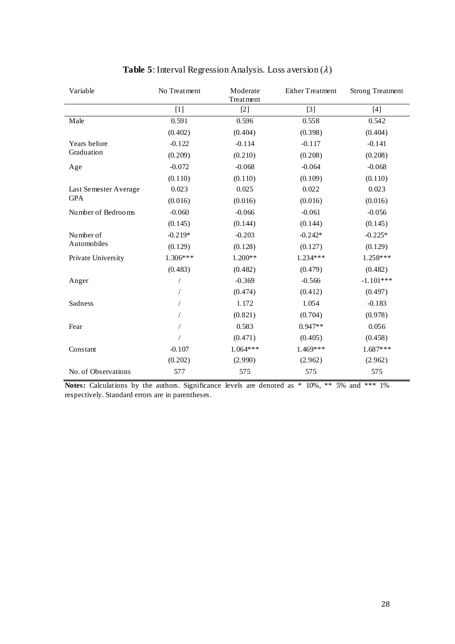| Variable              | No Treatment | Moderate<br>Treatment | <b>Either Treatment</b> | <b>Strong Treatment</b> |
|-----------------------|--------------|-----------------------|-------------------------|-------------------------|
|                       | $[1]$        | $[2]$                 | $[3]$                   | $[4]$                   |
| Male                  | 0.591        | 0.596                 | 0.558                   | 0.542                   |
|                       | (0.402)      | (0.404)               | (0.398)                 | (0.404)                 |
| Years before          | $-0.122$     | $-0.114$              | $-0.117$                | $-0.141$                |
| Graduation            | (0.209)      | (0.210)               | (0.208)                 | (0.208)                 |
| Age                   | $-0.072$     | $-0.068$              | $-0.064$                | $-0.068$                |
|                       | (0.110)      | (0.110)               | (0.109)                 | (0.110)                 |
| Last Semester Average | 0.023        | 0.025                 | 0.022                   | 0.023                   |
| <b>GPA</b>            | (0.016)      | (0.016)               | (0.016)                 | (0.016)                 |
| Number of Bedrooms    | $-0.060$     | $-0.066$              | $-0.061$                | $-0.056$                |
|                       | (0.145)      | (0.144)               | (0.144)                 | (0.145)                 |
| Number of             | $-0.219*$    | $-0.203$              | $-0.242*$               | $-0.225*$               |
| Automobiles           | (0.129)      | (0.128)               | (0.127)                 | (0.129)                 |
| Private University    | $1.306***$   | $1.200**$             | $1.234***$              | $1.258***$              |
|                       | (0.483)      | (0.482)               | (0.479)                 | (0.482)                 |
| Anger                 |              | $-0.369$              | $-0.566$                | $-1.101***$             |
|                       |              | (0.474)               | (0.412)                 | (0.497)                 |
| Sadness               |              | 1.172                 | 1.054                   | $-0.183$                |
|                       |              | (0.821)               | (0.704)                 | (0.978)                 |
| Fear                  |              | 0.583                 | $0.947**$               | 0.056                   |
|                       |              | (0.471)               | (0.405)                 | (0.458)                 |
| Constant              | $-0.107$     | $1.064***$            | 1.469***                | $1.687***$              |
|                       | (0.202)      | (2.990)               | (2.962)                 | (2.962)                 |
| No. of Observations   | 577          | 575                   | 575                     | 575                     |

# **Table 5**: Interval Regression Analysis. Loss aversion  $(\lambda)$

**Notes:** Calculations by the authors. Significance levels are denoted as \* 10%, \*\* 5% and \*\*\* 1% respectively. Standard errors are in parentheses.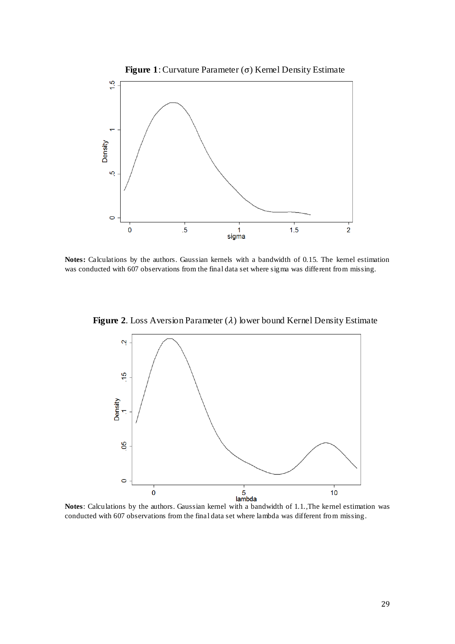

**Notes:** Calculations by the authors. Gaussian kernels with a bandwidth of 0.15*.* The kernel estimation was conducted with 607 observations from the final data set where sigma was different from missing.

**Figure 2.** Loss Aversion Parameter  $(\lambda)$  lower bound Kernel Density Estimate



**Notes**: Calculations by the authors. Gaussian kernel with a bandwidth of 1.1*.,*The kernel estimation was conducted with 607 observations from the final data set where lambda was different from missing *.*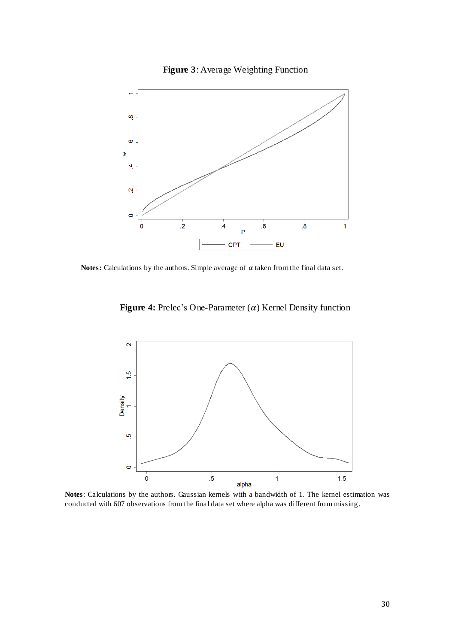



Notes: Calculations by the authors. Simple average of  $\alpha$  taken from the final data set.

**Figure 4:** Prelec's One-Parameter  $(\alpha)$  Kernel Density function



**Notes**: Calculations by the authors. Gaussian kernels with a bandwidth of 1*.* The kernel estimation was conducted with 607 observations from the final data set where alpha was different from missing *.*